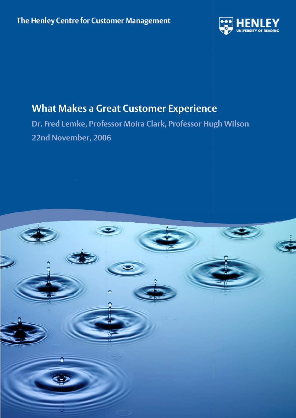

# **What Makes a Great Customer Experience**

**Dr. Fred Lemke, Professor Moira Clark, Professor Hugh Wilson 22nd November, 2006**

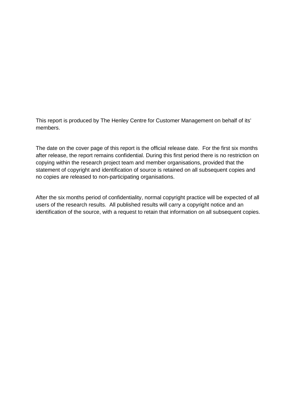This report is produced by The Henley Centre for Customer Management on behalf of its' members.

The date on the cover page of this report is the official release date. For the first six months after release, the report remains confidential. During this first period there is no restriction on copying within the research project team and member organisations, provided that the statement of copyright and identification of source is retained on all subsequent copies and no copies are released to non-participating organisations.

After the six months period of confidentiality, normal copyright practice will be expected of all users of the research results. All published results will carry a copyright notice and an identification of the source, with a request to retain that information on all subsequent copies.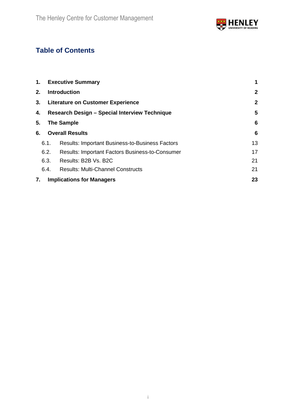

# **Table of Contents**

| 1.                                                  | <b>Executive Summary</b>                 |                                                        |    |  |  |
|-----------------------------------------------------|------------------------------------------|--------------------------------------------------------|----|--|--|
| 2.                                                  | <b>Introduction</b>                      |                                                        |    |  |  |
| 3.                                                  | <b>Literature on Customer Experience</b> | $\mathbf{2}$                                           |    |  |  |
| Research Design - Special Interview Technique<br>4. |                                          |                                                        |    |  |  |
| 5.                                                  | <b>The Sample</b>                        |                                                        |    |  |  |
| 6.                                                  | <b>Overall Results</b>                   | 6                                                      |    |  |  |
|                                                     | 6.1.                                     | <b>Results: Important Business-to-Business Factors</b> | 13 |  |  |
|                                                     | 6.2.                                     | <b>Results: Important Factors Business-to-Consumer</b> | 17 |  |  |
|                                                     | 6.3.                                     | Results: B2B Vs. B2C                                   | 21 |  |  |
|                                                     | 6.4.                                     | <b>Results: Multi-Channel Constructs</b>               | 21 |  |  |
| 7.                                                  | <b>Implications for Managers</b>         | 23                                                     |    |  |  |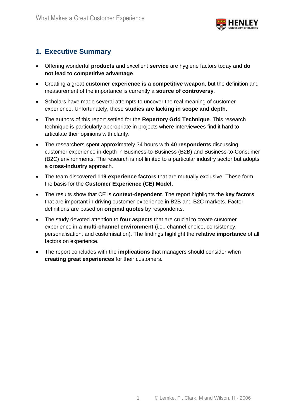

# **1. Executive Summary**

- Offering wonderful **products** and excellent **service** are hygiene factors today and **do not lead to competitive advantage**.
- Creating a great **customer experience is a competitive weapon**, but the definition and measurement of the importance is currently a **source of controversy**.
- Scholars have made several attempts to uncover the real meaning of customer experience. Unfortunately, these **studies are lacking in scope and depth**.
- The authors of this report settled for the **Repertory Grid Technique**. This research technique is particularly appropriate in projects where interviewees find it hard to articulate their opinions with clarity.
- The researchers spent approximately 34 hours with **40 respondents** discussing customer experience in-depth in Business-to-Business (B2B) and Business-to-Consumer (B2C) environments. The research is not limited to a particular industry sector but adopts a **cross-industry** approach.
- The team discovered **119 experience factors** that are mutually exclusive. These form the basis for the **Customer Experience (CE) Model**.
- The results show that CE is **context-dependent**. The report highlights the **key factors** that are important in driving customer experience in B2B and B2C markets. Factor definitions are based on **original quotes** by respondents.
- The study devoted attention to **four aspects** that are crucial to create customer experience in a **multi-channel environment** (i.e., channel choice, consistency, personalisation, and customisation). The findings highlight the **relative importance** of all factors on experience.
- The report concludes with the **implications** that managers should consider when **creating great experiences** for their customers.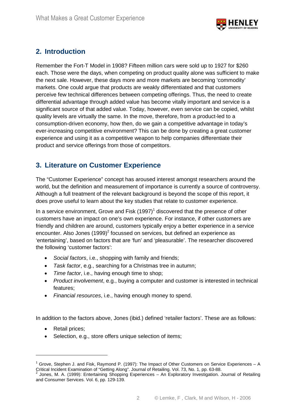

# **2. Introduction**

Remember the Fort-T Model in 1908? Fifteen million cars were sold up to 1927 for \$260 each. Those were the days, when competing on product quality alone was sufficient to make the next sale. However, these days more and more markets are becoming 'commodity' markets. One could argue that products are weakly differentiated and that customers perceive few technical differences between competing offerings. Thus, the need to create differential advantage through added value has become vitally important and service is a significant source of that added value. Today, however, even service can be copied, whilst quality levels are virtually the same. In the move, therefore, from a product-led to a consumption-driven economy, how then, do we gain a competitive advantage in today's ever-increasing competitive environment? This can be done by creating a great customer experience and using it as a competitive weapon to help companies differentiate their product and service offerings from those of competitors.

# **3. Literature on Customer Experience**

The "Customer Experience" concept has aroused interest amongst researchers around the world, but the definition and measurement of importance is currently a source of controversy. Although a full treatment of the relevant background is beyond the scope of this report, it does prove useful to learn about the key studies that relate to customer experience.

In a service environment, Grove and Fisk  $(1997)^1$  discovered that the presence of other customers have an impact on one's own experience. For instance, if other customers are friendly and children are around, customers typically enjoy a better experience in a service encounter. Also Jones (1999)<sup>2</sup> focussed on services, but defined an experience as 'entertaining', based on factors that are 'fun' and 'pleasurable'. The researcher discovered the following 'customer factors':

- *Social factors*, i.e., shopping with family and friends;
- *Task factor*, e.g., searching for a Christmas tree in autumn;
- *Time factor*, i.e., having enough time to shop;
- *Product involvement*, e.g., buying a computer and customer is interested in technical features;
- *Financial resources*, i.e., having enough money to spend.

In addition to the factors above, Jones (ibid.) defined 'retailer factors'. These are as follows:

- Retail prices:
- Selection, e.g., store offers unique selection of items;

<sup>&</sup>lt;sup>1</sup> Grove, Stephen J. and Fisk, Raymond P. (1997): The Impact of Other Customers on Service Experiences  $-$  A Critical Incident Examination of "Getting Along". Journal of Retailing. Vol. 73, No. 1, pp. 63-88.<br><sup>2</sup>. Janes, M. A. (1999): Entertaining Shapping Experiences. An Exploratory Investigation.

Jones, M. A. (1999): Entertaining Shopping Experiences – An Exploratory Investigation. Journal of Retailing and Consumer Services. Vol. 6, pp. 129-139.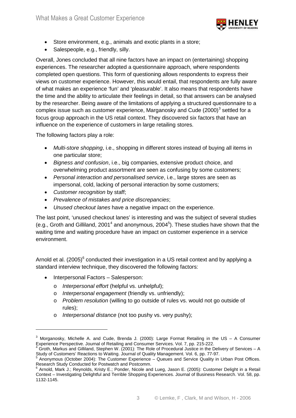

- Store environment, e.g., animals and exotic plants in a store;
- Salespeople, e.g., friendly, silly.

Overall, Jones concluded that all nine factors have an impact on (entertaining) shopping experiences. The researcher adopted a questionnaire approach, where respondents completed open questions. This form of questioning allows respondents to express their views on customer experience. However, this would entail, that respondents are fully aware of what makes an experience 'fun' and 'pleasurable'. It also means that respondents have the time and the ability to articulate their feelings in detail, so that answers can be analysed by the researcher. Being aware of the limitations of applying a structured questionnaire to a complex issue such as customer experience, Marganosky and Cude (2000)<sup>3</sup> settled for a focus group approach in the US retail context. They discovered six factors that have an influence on the experience of customers in large retailing stores.

The following factors play a role:

- *Multi-store shopping*, i.e., shopping in different stores instead of buying all items in one particular store;
- *Bigness and confusion*, i.e., big companies, extensive product choice, and overwhelming product assortment are seen as confusing by some customers;
- *Personal interaction and personalised service*, i.e., large stores are seen as impersonal, cold, lacking of personal interaction by some customers;
- *Customer recognition* by staff;
- *Prevalence of mistakes and price discrepancies*;
- *Unused checkout lanes* have a negative impact on the experience.

The last point, 'unused checkout lanes' is interesting and was the subject of several studies (e.g., Groth and Gilliland, 2001<sup>4</sup> and anonymous, 2004<sup>5</sup>). These studies have shown that the waiting time and waiting procedure have an impact on customer experience in a service environment.

Arnold et al. (2005)<sup>6</sup> conducted their investigation in a US retail context and by applying a standard interview technique, they discovered the following factors:

- Interpersonal Factors Salesperson:
	- o *Interpersonal effort* (helpful vs. unhelpful);
	- o *Interpersonal engagement* (friendly vs. unfriendly);
	- o *Problem resolution* (willing to go outside of rules vs. would not go outside of rules);
	- o *Interpersonal distance* (not too pushy vs. very pushy);

 $3$  Morganosky, Michelle A. and Cude, Brenda J. (2000): Large Format Retailing in the US – A Consumer Experience Perspective. Journal of Retailing and Consumer Services. Vol. 7, pp. 215-222.

<sup>4</sup> Groth, Markus and Gilliland, Stephen W. (2001): The Role of Procedural Justice in the Delivery of Services – A

Study of Customers' Reactions to Waiting. Journal of Quality Management. Vol. 6, pp. 77-97.<br><sup>5</sup> Anonymous (October 2004): The Customer Experience – Queues and Service Quality in Urban Post Offices. Research Study Conducted for Postwatch and Postcomm.<br><sup>6</sup> Arnold, Mark J.; Reynolds, Kristy E.; Ponder, Nicole and Lueg, Jason E. (2005): Customer Delight in a Retail

Context – Investigating Delightful and Terrible Shopping Experiences. Journal of Business Research. Vol. 58, pp. 1132-1145.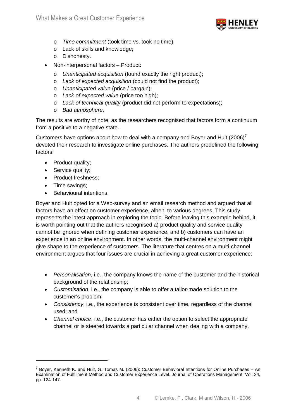

- o *Time commitment* (took time vs. took no time);
- o Lack of skills and knowledge;
- o Dishonesty.
- Non-interpersonal factors Product:
	- o *Unanticipated acquisition* (found exactly the right product);
	- o *Lack of expected acquisition* (could not find the product);
	- o *Unanticipated value* (price / bargain);
	- o *Lack of expected value* (price too high);
	- o *Lack of technical quality* (product did not perform to expectations);
	- o *Bad atmosphere*.

The results are worthy of note, as the researchers recognised that factors form a continuum from a positive to a negative state.

Customers have options about how to deal with a company and Boyer and Hult  $(2006)^7$ devoted their research to investigate online purchases. The authors predefined the following factors:

- Product quality;
- Service quality;
- Product freshness;
- Time savings:
- Behavioural intentions.

Boyer and Hult opted for a Web-survey and an email research method and argued that all factors have an effect on customer experience, albeit, to various degrees. This study represents the latest approach in exploring the topic. Before leaving this example behind, it is worth pointing out that the authors recognised a) product quality and service quality cannot be ignored when defining customer experience, and b) customers can have an experience in an online environment. In other words, the multi-channel environment might give shape to the experience of customers. The literature that centres on a multi-channel environment argues that four issues are crucial in achieving a great customer experience:

- *Personalisation*, i.e., the company knows the name of the customer and the historical background of the relationship;
- *Customisation*, i.e., the company is able to offer a tailor-made solution to the customer's problem;
- *Consistency*, i.e., the experience is consistent over time, regardless of the channel used; and
- *Channel choice*, i.e., the customer has either the option to select the appropriate channel or is steered towards a particular channel when dealing with a company.

<sup>&</sup>lt;sup>7</sup> Boyer, Kenneth K. and Hult, G. Tomas M. (2006): Customer Behavioral Intentions for Online Purchases – An Examination of Fulfillment Method and Customer Experience Level. Journal of Operations Management. Vol. 24, pp. 124-147.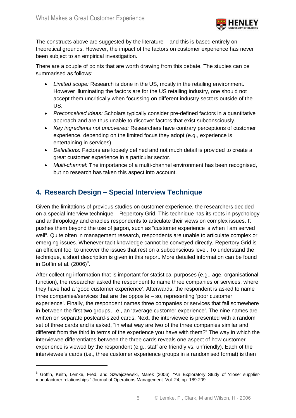

The constructs above are suggested by the literature – and this is based entirely on theoretical grounds. However, the impact of the factors on customer experience has never been subject to an empirical investigation.

There are a couple of points that are worth drawing from this debate. The studies can be summarised as follows:

- *Limited scope:* Research is done in the US, mostly in the retailing environment. However illuminating the factors are for the US retailing industry, one should not accept them uncritically when focussing on different industry sectors outside of the US.
- *Preconceived ideas:* Scholars typically consider pre-defined factors in a quantitative approach and are thus unable to discover factors that exist subconsciously.
- *Key ingredients not uncovered:* Researchers have contrary perceptions of customer experience, depending on the limited focus they adopt (e.g., experience is entertaining in services).
- *Definitions:* Factors are loosely defined and not much detail is provided to create a great customer experience in a particular sector.
- *Multi-channel:* The importance of a multi-channel environment has been recognised, but no research has taken this aspect into account.

# **4. Research Design – Special Interview Technique**

Given the limitations of previous studies on customer experience, the researchers decided on a special interview technique – Repertory Grid. This technique has its roots in psychology and anthropology and enables respondents to articulate their views on complex issues. It pushes them beyond the use of jargon, such as "customer experience is when I am served well". Quite often in management research, respondents are unable to articulate complex or emerging issues. Whenever tacit knowledge cannot be conveyed directly, Repertory Grid is an efficient tool to uncover the issues that rest on a subconscious level. To understand the technique, a short description is given in this report. More detailed information can be found in Goffin et al.  $(2006)^8$ .

After collecting information that is important for statistical purposes (e.g., age, organisational function), the researcher asked the respondent to name three companies or services, where they have had a 'good customer experience'. Afterwards, the respondent is asked to name three companies/services that are the opposite – so, representing 'poor customer experience'. Finally, the respondent names three companies or services that fall somewhere in-between the first two groups, i.e., an 'average customer experience'. The nine names are written on separate postcard-sized cards. Next, the interviewee is presented with a random set of three cards and is asked, "in what way are two of the three companies similar and different from the third in terms of the experience you have with them?" The way in which the interviewee differentiates between the three cards reveals one aspect of how customer experience is viewed by the respondent (e.g., staff are friendly vs. unfriendly). Each of the interviewee's cards (i.e., three customer experience groups in a randomised format) is then

<sup>&</sup>lt;sup>8</sup> Goffin, Keith, Lemke, Fred, and Szwejczewski, Marek (2006): "An Exploratory Study of 'close' suppliermanufacturer relationships." Journal of Operations Management. Vol. 24, pp. 189-209.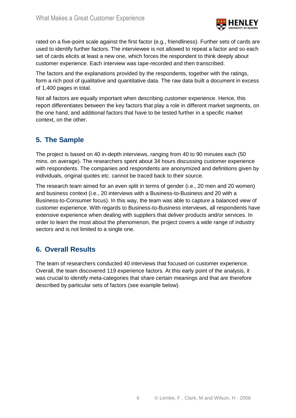

rated on a five-point scale against the first factor (e.g., friendliness). Further sets of cards are used to identify further factors. The interviewee is not allowed to repeat a factor and so each set of cards elicits at least a new one, which forces the respondent to think deeply about customer experience. Each interview was tape-recorded and then transcribed.

The factors and the explanations provided by the respondents, together with the ratings, form a rich pool of qualitative and quantitative data. The raw data built a document in excess of 1,400 pages in total.

Not all factors are equally important when describing customer experience. Hence, this report differentiates between the key factors that play a role in different market segments, on the one hand, and additional factors that have to be tested further in a specific market context, on the other.

# **5. The Sample**

The project is based on 40 in-depth interviews, ranging from 40 to 90 minutes each (50 mins. on average). The researchers spent about 34 hours discussing customer experience with respondents. The companies and respondents are anonymized and definitions given by individuals, original quotes etc. cannot be traced back to their source.

The research team aimed for an even split in terms of gender (i.e., 20 men and 20 women) and business context (i.e., 20 interviews with a Business-to-Business and 20 with a Business-to-Consumer focus). In this way, the team was able to capture a balanced view of customer experience. With regards to Business-to-Business interviews, all respondents have extensive experience when dealing with suppliers that deliver products and/or services. In order to learn the most about the phenomenon, the project covers a wide range of industry sectors and is not limited to a single one.

# **6. Overall Results**

The team of researchers conducted 40 interviews that focused on customer experience. Overall, the team discovered 119 experience factors. At this early point of the analysis, it was crucial to identify meta-categories that share certain meanings and that are therefore described by particular sets of factors (see example below).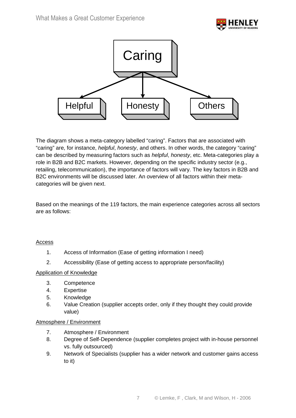



The diagram shows a meta-category labelled "caring". Factors that are associated with "caring" are, for instance, *helpful*, *honesty*, and others. In other words, the category "caring" can be described by measuring factors such as *helpful*, *honesty*, etc. Meta-categories play a role in B2B and B2C markets. However, depending on the specific industry sector (e.g., retailing, telecommunication), the importance of factors will vary. The key factors in B2B and B2C environments will be discussed later. An overview of all factors within their metacategories will be given next.

Based on the meanings of the 119 factors, the main experience categories across all sectors are as follows:

#### **Access**

- 1. Access of Information (Ease of getting information I need)
- 2. Accessibility (Ease of getting access to appropriate person/facility)

#### Application of Knowledge

- 3. Competence
- 4. Expertise
- 5. Knowledge
- 6. Value Creation (supplier accepts order, only if they thought they could provide value)

#### Atmosphere / Environment

- 7. Atmosphere / Environment
- 8. Degree of Self-Dependence (supplier completes project with in-house personnel vs. fully outsourced)
- 9. Network of Specialists (supplier has a wider network and customer gains access to it)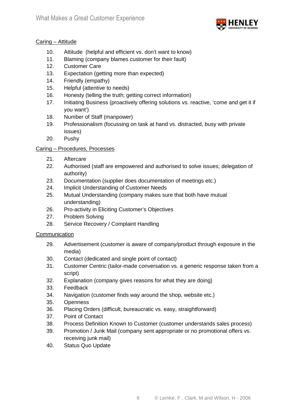

### Caring – Attitude

- 10. Attitude (helpful and efficient vs. don't want to know)
- 11. Blaming (company blames customer for their fault)
- 12. Customer Care
- 13. Expectation (getting more than expected)
- 14. Friendly (empathy)
- 15. Helpful (attentive to needs)
- 16. Honesty (telling the truth; getting correct information)
- 17. Initiating Business (proactively offering solutions vs. reactive, 'come and get it if you want')
- 18. Number of Staff (manpower)
- 19. Professionalism (focussing on task at hand vs. distracted, busy with private issues)
- 20. Pushy

# Caring – Procedures, Processes

- 21. Aftercare
- 22. Authorised (staff are empowered and authorised to solve issues; delegation of authority)
- 23. Documentation (supplier does documentation of meetings etc.)
- 24. Implicit Understanding of Customer Needs
- 25. Mutual Understanding (company makes sure that both have mutual understanding)
- 26. Pro-activity in Eliciting Customer's Objectives
- 27. Problem Solving
- 28. Service Recovery / Complaint Handling

# **Communication**

- 29. Advertisement (customer is aware of company/product through exposure in the media)
- 30. Contact (dedicated and single point of contact)
- 31. Customer Centric (tailor-made conversation vs. a generic response taken from a script)
- 32. Explanation (company gives reasons for what they are doing)
- 33. Feedback
- 34. Navigation (customer finds way around the shop, website etc.)
- 35. Openness
- 36. Placing Orders (difficult, bureaucratic vs. easy, straightforward)
- 37. Point of Contact
- 38. Process Definition Known to Customer (customer understands sales process)
- 39. Promotion / Junk Mail (company sent appropriate or no promotional offers vs. receiving junk mail)
- 40. Status Quo Update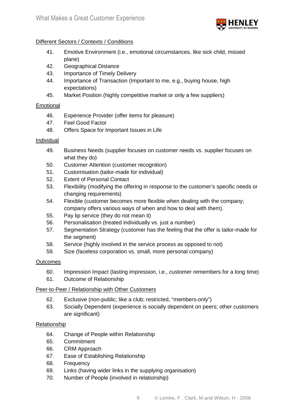

### Different Sectors / Contexts / Conditions

- 41. Emotive Environment (i.e., emotional circumstances, like sick child, missed plane)
- 42. Geographical Distance
- 43. Importance of Timely Delivery
- 44. Importance of Transaction (Important to me, e.g., buying house, high expectations)
- 45. Market Position (highly competitive market or only a few suppliers)

#### Emotional

- 46. Experience Provider (offer items for pleasure)
- 47. Feel Good Factor
- 48. Offers Space for Important Issues in Life

#### Individual

- 49. Business Needs (supplier focuses on customer needs vs. supplier focuses on what they do)
- 50. Customer Attention (customer recognition)
- 51. Customisation (tailor-made for individual)
- 52. Extent of Personal Contact
- 53. Flexibility (modifying the offering in response to the customer's specific needs or changing requirements)
- 54. Flexible (customer becomes more flexible when dealing with the company; company offers various ways of when and how to deal with them).
- 55. Pay lip service (they do not mean it)
- 56. Personalisation (treated individually vs. just a number)
- 57. Segmentation Strategy (customer has the feeling that the offer is tailor-made for the segment)
- 58. Service (highly involved in the service process as opposed to not)
- 59. Size (faceless corporation vs. small, more personal company)

#### **Outcomes**

- 60. Impression Impact (lasting impression, i.e., customer remembers for a long time)
- 61. Outcome of Relationship

#### Peer-to-Peer / Relationship with Other Customers

- 62. Exclusive (non-public; like a club; restricted, "members-only")
- 63. Socially Dependent (experience is socially dependent on peers; other customers are significant)

#### Relationship

- 64. Change of People within Relationship
- 65. Commitment
- 66. CRM Approach
- 67. Ease of Establishing Relationship
- 68. Frequency
- 69. Links (having wider links in the supplying organisation)
- 70. Number of People (involved in relationship)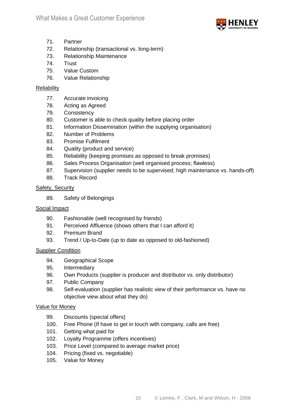

- 71. Partner
- 72. Relationship (transactional vs. long-term)
- 73. Relationship Maintenance
- 74. Trust
- 75. Value Custom
- 76. Value Relationship

#### **Reliability**

- 77. Accurate invoicing
- 78. Acting as Agreed
- 79. Consistency
- 80. Customer is able to check quality before placing order
- 81. Information Dissemination (within the supplying organisation)
- 82. Number of Problems
- 83. Promise Fulfilment
- 84. Quality (product and service)
- 85. Reliability (keeping promises as opposed to break promises)
- 86. Sales Process Organisation (well organised process; flawless)
- 87. Supervision (supplier needs to be supervised; high maintenance vs. hands-off)
- 88. Track Record

#### Safety, Security

89. Safety of Belongings

#### Social Impact

- 90. Fashionable (well recognised by friends)
- 91. Perceived Affluence (shows others that I can afford it)
- 92. Premium Brand
- 93. Trend / Up-to-Date (up to date as opposed to old-fashioned)

#### **Supplier Condition**

- 94. Geographical Scope
- 95. Intermediary
- 96. Own Products (supplier is producer and distributor vs. only distributor)
- 97. Public Company
- 98. Self-evaluation (supplier has realistic view of their performance vs. have no objective view about what they do)

#### Value for Money

- 99. Discounts (special offers)
- 100. Free Phone (If have to get in touch with company, calls are free)
- 101. Getting what paid for
- 102. Loyalty Programme (offers incentives)
- 103. Price Level (compared to average market price)
- 104. Pricing (fixed vs. negotiable)
- 105. Value for Money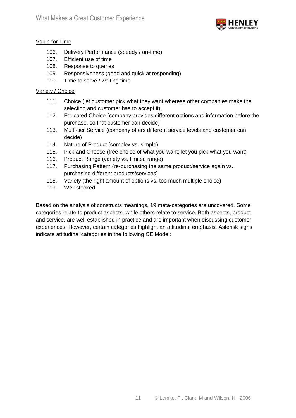

### Value for Time

- 106. Delivery Performance (speedy / on-time)
- 107. Efficient use of time
- 108. Response to queries
- 109. Responsiveness (good and quick at responding)
- 110. Time to serve / waiting time

#### Variety / Choice

- 111. Choice (let customer pick what they want whereas other companies make the selection and customer has to accept it).
- 112. Educated Choice (company provides different options and information before the purchase, so that customer can decide)
- 113. Multi-tier Service (company offers different service levels and customer can decide)
- 114. Nature of Product (complex vs. simple)
- 115. Pick and Choose (free choice of what you want; let you pick what you want)
- 116. Product Range (variety vs. limited range)
- 117. Purchasing Pattern (re-purchasing the same product/service again vs. purchasing different products/services)
- 118. Variety (the right amount of options vs. too much multiple choice)
- 119. Well stocked

Based on the analysis of constructs meanings, 19 meta-categories are uncovered. Some categories relate to product aspects, while others relate to service. Both aspects, product and service, are well established in practice and are important when discussing customer experiences. However, certain categories highlight an attitudinal emphasis. Asterisk signs indicate attitudinal categories in the following CE Model: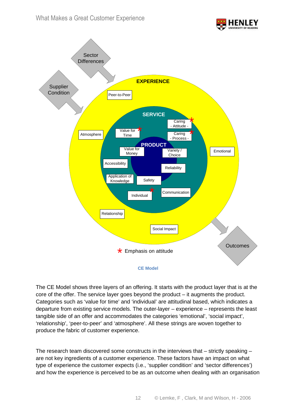



The CE Model shows three layers of an offering. It starts with the product layer that is at the core of the offer. The service layer goes beyond the product – it augments the product. Categories such as 'value for time' and 'individual' are attitudinal based, which indicates a departure from existing service models. The outer-layer – experience – represents the least tangible side of an offer and accommodates the categories 'emotional', 'social impact', 'relationship', 'peer-to-peer' and 'atmosphere'. All these strings are woven together to produce the fabric of customer experience.

The research team discovered some constructs in the interviews that  $-$  strictly speaking  $$ are not key ingredients of a customer experience. These factors have an impact on what type of experience the customer expects (i.e., 'supplier condition' and 'sector differences') and how the experience is perceived to be as an outcome when dealing with an organisation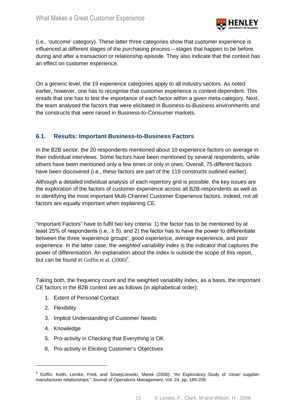

(i.e., 'outcome' category). These latter three categories show that customer experience is influenced at different stages of the purchasing process – stages that happen to be before, during and after a transaction or relationship episode. They also indicate that the context has an effect on customer experience.

On a generic level, the 19 experience categories apply to all industry sectors. As noted earlier, however, one has to recognise that customer experience is context-dependent. This entails that one has to test the importance of each factor within a given meta-category. Next, the team analysed the factors that were elicitated in Business-to-Business environments and the constructs that were raised in Business-to-Consumer markets.

### **6.1. Results: Important Business-to-Business Factors**

In the B2B sector, the 20 respondents mentioned about 10 experience factors on average in their individual interviews. Some factors have been mentioned by several respondents, while others have been mentioned only a few times or only in ones. Overall, 75 different factors have been discovered (i.e., these factors are part of the 119 constructs outlined earlier).

Although a detailed individual analysis of each repertory grid is possible, the key issues are the exploration of the factors of customer experience across all B2B-respondents as well as in identifying the most important Multi-Channel Customer Experience factors. Indeed, not all factors are equally important when explaining CE.

"Important Factors" have to fulfil two key criteria: 1) the factor has to be mentioned by at least 25% of respondents (i.e.,  $\geq$  5), and 2) the factor has to have the power to differentiate between the three 'experience groups', good experience, average experience, and poor experience. In the latter case, the *weighted variability index* is the indicator that captures the power of differentiation. An explanation about the index is outside the scope of this report, but can be found in Goffin et al.  $(2006)^9$ .

Taking both, the frequency count and the weighted variability index, as a basis, the important CE factors in the B2B context are as follows (in alphabetical order):

- 1. Extent of Personal Contact
- 2. Flexibility
- 3. Implicit Understanding of Customer Needs
- 4. Knowledge
- 5. Pro-activity in Checking that Everything is OK
- 6. Pro-activity in Eliciting Customer's Objectives

<sup>&</sup>lt;sup>9</sup> Goffin, Keith, Lemke, Fred, and Szwejczewski, Marek (2006): "An Exploratory Study of 'close' suppliermanufacturer relationships." Journal of Operations Management. Vol. 24, pp. 189-209.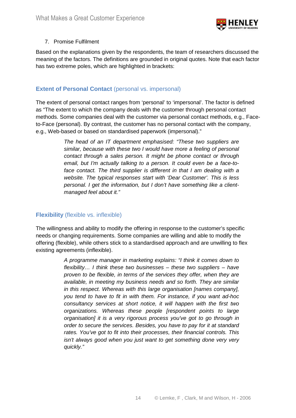

#### 7. Promise Fulfilment

Based on the explanations given by the respondents, the team of researchers discussed the meaning of the factors. The definitions are grounded in original quotes. Note that each factor has two extreme poles, which are highlighted in brackets:

# **Extent of Personal Contact** (personal vs. impersonal)

The extent of personal contact ranges from 'personal' to 'impersonal'. The factor is defined as "The extent to which the company deals with the customer through personal contact methods. Some companies deal with the customer via personal contact methods, e.g., Faceto-Face (personal). By contrast, the customer has no personal contact with the company, e.g., Web-based or based on standardised paperwork (impersonal)."

> *The head of an IT department emphasised: "These two suppliers are similar, because with these two I would have more a feeling of personal contact through a sales person. It might be phone contact or through email, but I'm actually talking to a person. It could even be a face-toface contact. The third supplier is different in that I am dealing with a website. The typical responses start with 'Dear Customer'. This is less personal. I get the information, but I don't have something like a clientmanaged feel about it."*

# **Flexibility** (flexible vs. inflexible)

The willingness and ability to modify the offering in response to the customer's specific needs or changing requirements. Some companies are willing and able to modify the offering (flexible), while others stick to a standardised approach and are unwilling to flex existing agreements (inflexible).

> *A programme manager in marketing explains: "I think it comes down to flexibility… I think these two businesses – these two suppliers – have proven to be flexible, in terms of the services they offer, when they are available, in meeting my business needs and so forth. They are similar in this respect. Whereas with this large organisation [names company], you tend to have to fit in with them. For instance, if you want ad-hoc consultancy services at short notice, it will happen with the first two organizations. Whereas these people [respondent points to large organisation] it is a very rigorous process you've got to go through in order to secure the services. Besides, you have to pay for it at standard rates. You've got to fit into their processes, their financial controls. This isn't always good when you just want to get something done very very quickly."*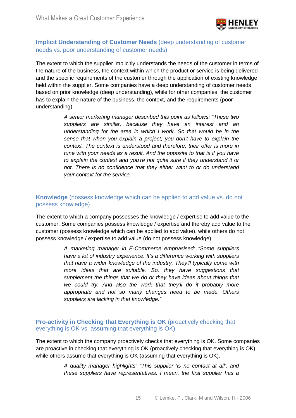

# **Implicit Understanding of Customer Needs** (deep understanding of customer needs vs. poor understanding of customer needs)

The extent to which the supplier implicitly understands the needs of the customer in terms of the nature of the business, the context within which the product or service is being delivered and the specific requirements of the customer through the application of existing knowledge held within the supplier. Some companies have a deep understanding of customer needs based on prior knowledge (deep understanding), while for other companies, the customer has to explain the nature of the business, the context, and the requirements (poor understanding).

> *A senior marketing manager described this point as follows: "These two suppliers are similar, because they have an interest and an understanding for the area in which I work. So that would be in the sense that when you explain a project, you don't have to explain the context. The context is understood and therefore, their offer is more in tune with your needs as a result. And the opposite to that is if you have to explain the context and you're not quite sure if they understand it or not. There is no confidence that they either want to or do understand your context for the service."*

### **Knowledge** (possess knowledge which can be applied to add value vs. do not possess knowledge)

The extent to which a company possesses the knowledge / expertise to add value to the customer. Some companies possess knowledge / expertise and thereby add value to the customer (possess knowledge which can be applied to add value), while others do not possess knowledge / expertise to add value (do not possess knowledge).

> *A marketing manager in E-Commerce emphasised: "Some suppliers have a lot of industry experience. It's a difference working with suppliers that have a wider knowledge of the industry. They'll typically come with more ideas that are suitable. So, they have suggestions that supplement the things that we do or they have ideas about things that we could try. And also the work that they'll do it probably more appropriate and not so many changes need to be made. Others suppliers are lacking in that knowledge."*

### **Pro-activity in Checking that Everything is OK** (proactively checking that everything is OK vs. assuming that everything is OK)

The extent to which the company proactively checks that everything is OK. Some companies are proactive in checking that everything is OK (proactively checking that everything is OK), while others assume that everything is OK (assuming that everything is OK).

> *A quality manager highlights: "This supplier 'is no contact at all', and these suppliers have representatives. I mean, the first supplier has a*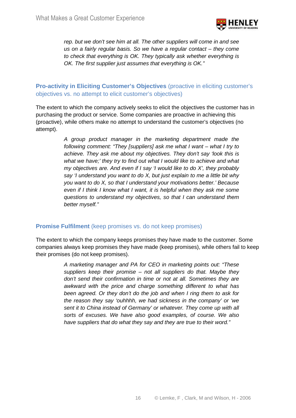

*rep. but we don't see him at all. The other suppliers will come in and see us on a fairly regular basis. So we have a regular contact – they come to check that everything is OK. They typically ask whether everything is OK. The first supplier just assumes that everything is OK."*

# **Pro-activity in Eliciting Customer's Objectives** (proactive in eliciting customer's objectives vs. no attempt to elicit customer's objectives)

The extent to which the company actively seeks to elicit the objectives the customer has in purchasing the product or service. Some companies are proactive in achieving this (proactive), while others make no attempt to understand the customer's objectives (no attempt).

> *A group product manager in the marketing department made the following comment: "They [suppliers] ask me what I want – what I try to achieve. They ask me about my objectives. They don't say 'look this is what we have;' they try to find out what I would like to achieve and what my objectives are. And even if I say 'I would like to do X', they probably say 'I understand you want to do X, but just explain to me a little bit why you want to do X, so that I understand your motivations better.' Because even if I think I know what I want, it is helpful when they ask me some questions to understand my objectives, so that I can understand them better myself."*

#### **Promise Fulfilment** (keep promises vs. do not keep promises)

The extent to which the company keeps promises they have made to the customer. Some companies always keep promises they have made (keep promises), while others fail to keep their promises (do not keep promises).

> *A marketing manager and PA for CEO in marketing points out: "These suppliers keep their promise – not all suppliers do that. Maybe they don't send their confirmation in time or not at all. Sometimes they are awkward with the price and charge something different to what has been agreed. Or they don't do the job and when I ring them to ask for the reason they say 'ouhhhh, we had sickness in the company' or 'we sent it to China instead of Germany' or whatever. They come up with all sorts of excuses. We have also good examples, of course. We also have suppliers that do what they say and they are true to their word."*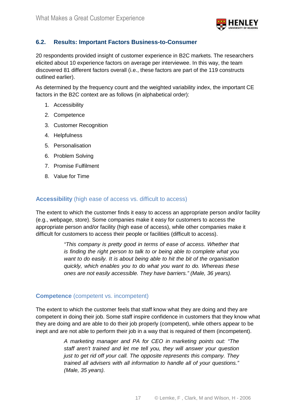

# **6.2. Results: Important Factors Business-to-Consumer**

20 respondents provided insight of customer experience in B2C markets. The researchers elicited about 10 experience factors on average per interviewee. In this way, the team discovered 81 different factors overall (i.e., these factors are part of the 119 constructs outlined earlier).

As determined by the frequency count and the weighted variability index, the important CE factors in the B2C context are as follows (in alphabetical order):

- 1. Accessibility
- 2. Competence
- 3. Customer Recognition
- 4. Helpfulness
- 5. Personalisation
- 6. Problem Solving
- 7. Promise Fulfilment
- 8. Value for Time

#### **Accessibility** (high ease of access vs. difficult to access)

The extent to which the customer finds it easy to access an appropriate person and/or facility (e.g., webpage, store). Some companies make it easy for customers to access the appropriate person and/or facility (high ease of access), while other companies make it difficult for customers to access their people or facilities (difficult to access).

> *"This company is pretty good in terms of ease of access. Whether that is finding the right person to talk to or being able to complete what you want to do easily. It is about being able to hit the bit of the organisation quickly, which enables you to do what you want to do. Whereas these ones are not easily accessible. They have barriers." (Male, 36 years).*

#### **Competence** (competent vs. incompetent)

The extent to which the customer feels that staff know what they are doing and they are competent in doing their job. Some staff inspire confidence in customers that they know what they are doing and are able to do their job properly (competent), while others appear to be inept and are not able to perform their job in a way that is required of them (incompetent).

> *A marketing manager and PA for CEO in marketing points out: "The staff aren't trained and let me tell you, they will answer your question just to get rid off your call. The opposite represents this company. They trained all advisers with all information to handle all of your questions." (Male, 35 years).*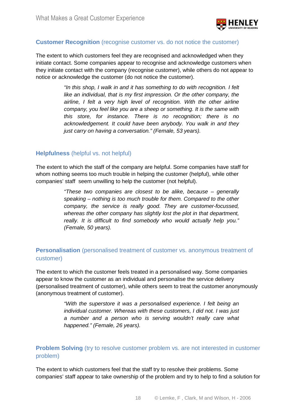

### **Customer Recognition** (recognise customer vs. do not notice the customer)

The extent to which customers feel they are recognised and acknowledged when they initiate contact. Some companies appear to recognise and acknowledge customers when they initiate contact with the company (recognise customer), while others do not appear to notice or acknowledge the customer (do not notice the customer).

> *"In this shop, I walk in and it has something to do with recognition. I felt like an individual, that is my first impression. Or the other company, the airline, I felt a very high level of recognition. With the other airline company, you feel like you are a sheep or something. It is the same with this store, for instance. There is no recognition; there is no acknowledgement. It could have been anybody. You walk in and they just carry on having a conversation." (Female, 53 years).*

# **Helpfulness** (helpful vs. not helpful)

The extent to which the staff of the company are helpful. Some companies have staff for whom nothing seems too much trouble in helping the customer (helpful), while other companies' staff seem unwilling to help the customer (not helpful).

> *"These two companies are closest to be alike, because – generally speaking – nothing is too much trouble for them. Compared to the other company, the service is really good. They are customer-focussed, whereas the other company has slightly lost the plot in that department, really. It is difficult to find somebody who would actually help you." (Female, 50 years).*

# **Personalisation** (personalised treatment of customer vs. anonymous treatment of customer)

The extent to which the customer feels treated in a personalised way. Some companies appear to know the customer as an individual and personalise the service delivery (personalised treatment of customer), while others seem to treat the customer anonymously (anonymous treatment of customer).

> *"With the superstore it was a personalised experience. I felt being an individual customer. Whereas with these customers, I did not. I was just a number and a person who is serving wouldn't really care what happened." (Female, 26 years).*

### **Problem Solving** (try to resolve customer problem vs. are not interested in customer problem)

The extent to which customers feel that the staff try to resolve their problems. Some companies' staff appear to take ownership of the problem and try to help to find a solution for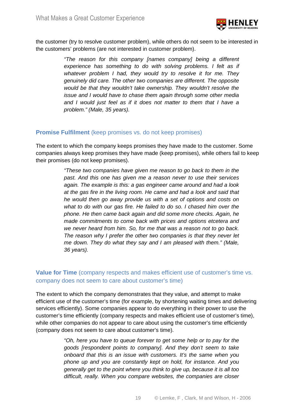

the customer (try to resolve customer problem), while others do not seem to be interested in the customers' problems (are not interested in customer problem).

> *"The reason for this company [names company] being a different experience has something to do with solving problems. I felt as if whatever problem I had, they would try to resolve it for me. They genuinely did care. The other two companies are different. The opposite would be that they wouldn't take ownership. They wouldn't resolve the issue and I would have to chase them again through some other media and I would just feel as if it does not matter to them that I have a problem." (Male, 35 years).*

#### **Promise Fulfilment** (keep promises vs. do not keep promises)

The extent to which the company keeps promises they have made to the customer. Some companies always keep promises they have made (keep promises), while others fail to keep their promises (do not keep promises).

> *"These two companies have given me reason to go back to them in the past. And this one has given me a reason never to use their services again. The example is this: a gas engineer came around and had a look at the gas fire in the living room. He came and had a look and said that he would then go away provide us with a set of options and costs on what to do with our gas fire. He failed to do so. I chased him over the phone. He then came back again and did some more checks. Again, he made commitments to come back with prices and options etcetera and we never heard from him. So, for me that was a reason not to go back. The reason why I prefer the other two companies is that they never let me down. They do what they say and I am pleased with them." (Male, 36 years).*

# **Value for Time** (company respects and makes efficient use of customer's time vs. company does not seem to care about customer's time)

The extent to which the company demonstrates that they value, and attempt to make efficient use of the customer's time (for example, by shortening waiting times and delivering services efficiently). Some companies appear to do everything in their power to use the customer's time efficiently (company respects and makes efficient use of customer's time), while other companies do not appear to care about using the customer's time efficiently (company does not seem to care about customer's time).

> *"Oh, here you have to queue forever to get some help or to pay for the goods [respondent points to company]. And they don't seem to take onboard that this is an issue with customers. It's the same when you phone up and you are constantly kept on hold, for instance. And you generally get to the point where you think to give up, because it is all too difficult, really. When you compare websites, the companies are closer*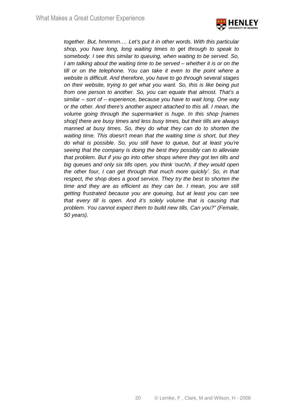

*together. But, hmmmm…. Let's put it in other words. With this particular shop, you have long, long waiting times to get through to speak to somebody. I see this similar to queuing, when waiting to be served. So, I am talking about the waiting time to be served – whether it is or on the till or on the telephone. You can take it even to the point where a website is difficult. And therefore, you have to go through several stages on their website, trying to get what you want. So, this is like being put from one person to another. So, you can equate that almost. That's a similar – sort of – experience, because you have to wait long. One way or the other. And there's another aspect attached to this all. I mean, the volume going through the supermarket is huge. In this shop [names shop] there are busy times and less busy times, but their tills are always manned at busy times. So, they do what they can do to shorten the waiting time. This doesn't mean that the waiting time is short, but they do what is possible. So, you still have to queue, but at least you're seeing that the company is doing the best they possibly can to alleviate that problem. But if you go into other shops where they got ten tills and big queues and only six tills open, you think 'ouchh, if they would open the other four, I can get through that much more quickly'. So, in that respect, the shop does a good service. They try the best to shorten the time and they are as efficient as they can be. I mean, you are still getting frustrated because you are queuing, but at least you can see that every till is open. And it's solely volume that is causing that problem. You cannot expect them to build new tills. Can you?" (Female, 50 years).*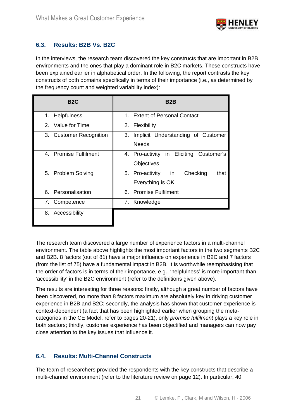

# **6.3. Results: B2B Vs. B2C**

In the interviews, the research team discovered the key constructs that are important in B2B environments and the ones that play a dominant role in B2C markets. These constructs have been explained earlier in alphabetical order. In the following, the report contrasts the key constructs of both domains specifically in terms of their importance (i.e., as determined by the frequency count and weighted variability index):

| B <sub>2</sub> C        | B <sub>2</sub> B                                              |  |  |
|-------------------------|---------------------------------------------------------------|--|--|
| 1. Helpfulness          | 1. Extent of Personal Contact                                 |  |  |
| 2. Value for Time       | 2. Flexibility                                                |  |  |
| 3. Customer Recognition | Implicit Understanding of Customer<br>3.<br><b>Needs</b>      |  |  |
| 4. Promise Fulfilment   | Customer's<br>4. Pro-activity in Eliciting<br>Objectives      |  |  |
| 5. Problem Solving      | in<br>Checking<br>that<br>5. Pro-activity<br>Everything is OK |  |  |
| 6. Personalisation      | 6. Promise Fulfilment                                         |  |  |
| 7. Competence           | 7. Knowledge                                                  |  |  |
| Accessibility<br>8.     |                                                               |  |  |

The research team discovered a large number of experience factors in a multi-channel environment. The table above highlights the most important factors in the two segments B2C and B2B. 8 factors (out of 81) have a major influence on experience in B2C and 7 factors (from the list of 75) have a fundamental impact in B2B. It is worthwhile reemphasising that the order of factors is in terms of their importance, e.g., 'helpfulness' is more important than 'accessibility' in the B2C environment (refer to the definitions given above).

The results are interesting for three reasons: firstly, although a great number of factors have been discovered, no more than 8 factors maximum are absolutely key in driving customer experience in B2B and B2C; secondly, the analysis has shown that customer experience is context-dependent (a fact that has been highlighted earlier when grouping the metacategories in the CE Model, refer to pages 20-21), only *promise fulfilment* plays a key role in both sectors; thirdly, customer experience has been objectified and managers can now pay close attention to the key issues that influence it.

# **6.4. Results: Multi-Channel Constructs**

The team of researchers provided the respondents with the key constructs that describe a multi-channel environment (refer to the literature review on page 12). In particular, 40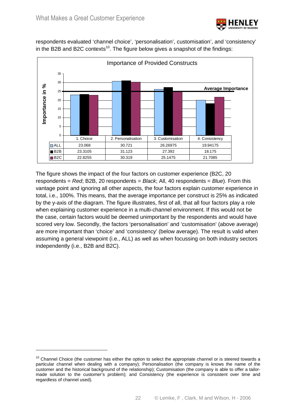

respondents evaluated 'channel choice', 'personalisation', customisation', and 'consistency' in the B2B and B2C contexts<sup>10</sup>. The figure below gives a snapshot of the findings:



The figure shows the impact of the four factors on customer experience (B2C, 20 respondents = *Red*; B2B, 20 respondents = *Black*; All, 40 respondents = *Blue*). From this vantage point and ignoring all other aspects, the four factors explain customer experience in total, i.e., 100%. This means, that the average importance per construct is 25% as indicated by the y-axis of the diagram. The figure illustrates, first of all, that all four factors play a role when explaining customer experience in a multi-channel environment. If this would not be the case, certain factors would be deemed unimportant by the respondents and would have scored very low. Secondly, the factors 'personalisation' and 'customisation' (above average) are more important than 'choice' and 'consistency' (below average). The result is valid when assuming a general viewpoint (i.e., ALL) as well as when focussing on both industry sectors independently (i.e., B2B and B2C).

 $10$  Channel Choice (the customer has either the option to select the appropriate channel or is steered towards a particular channel when dealing with a company); Personalisation (the company is knows the name of the customer and the historical background of the relationship); Customisation (the company is able to offer a tailormade solution to the customer's problem); and Consistency (the experience is consistent over time and regardless of channel used).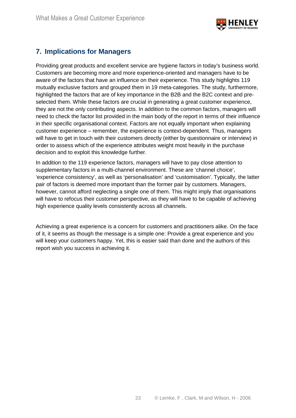

# **7. Implications for Managers**

Providing great products and excellent service are hygiene factors in today's business world. Customers are becoming more and more experience-oriented and managers have to be aware of the factors that have an influence on their experience. This study highlights 119 mutually exclusive factors and grouped them in 19 meta-categories. The study, furthermore, highlighted the factors that are of key importance in the B2B and the B2C context and preselected them. While these factors are crucial in generating a great customer experience, they are not the only contributing aspects. In addition to the common factors, managers will need to check the factor list provided in the main body of the report in terms of their influence in their specific organisational context. Factors are not equally important when explaining customer experience – remember, the experience is context-dependent. Thus, managers will have to get in touch with their customers directly (either by questionnaire or interview) in order to assess which of the experience attributes weight most heavily in the purchase decision and to exploit this knowledge further.

In addition to the 119 experience factors, managers will have to pay close attention to supplementary factors in a multi-channel environment. These are 'channel choice', 'experience consistency', as well as 'personalisation' and 'customisation'. Typically, the latter pair of factors is deemed more important than the former pair by customers. Managers, however, cannot afford neglecting a single one of them. This might imply that organisations will have to refocus their customer perspective, as they will have to be capable of achieving high experience quality levels consistently across all channels.

Achieving a great experience is a concern for customers and practitioners alike. On the face of it, it seems as though the message is a simple one: Provide a great experience and you will keep your customers happy. Yet, this is easier said than done and the authors of this report wish you success in achieving it.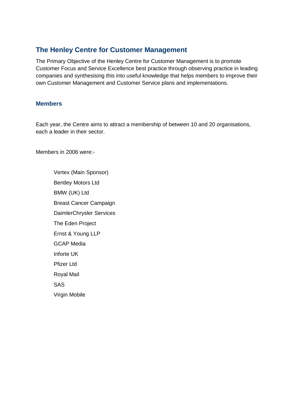# **The Henley Centre for Customer Management**

The Primary Objective of the Henley Centre for Customer Management is to promote Customer Focus and Service Excellence best practice through observing practice in leading companies and synthesising this into useful knowledge that helps members to improve their own Customer Management and Customer Service plans and implementations.

#### **Members**

Each year, the Centre aims to attract a membership of between 10 and 20 organisations, each a leader in their sector.

Members in 2006 were:-

Vertex (Main Sponsor) Bentley Motors Ltd BMW (UK) Ltd Breast Cancer Campaign DaimlerChrysler Services The Eden Project Ernst & Young LLP GCAP Media Inforte UK Pfizer Ltd Royal Mail SAS Virgin Mobile